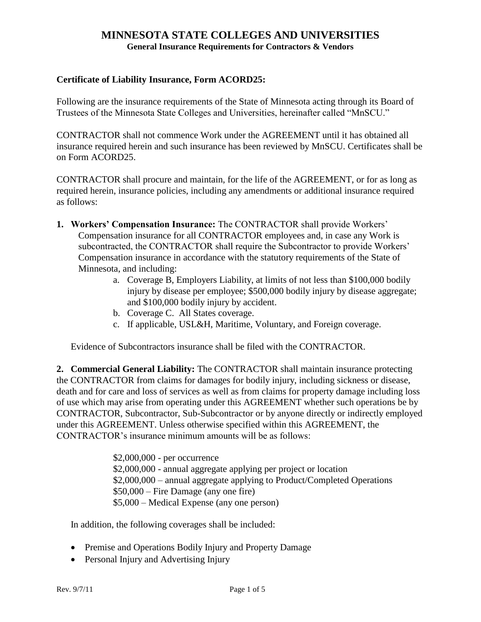#### **Certificate of Liability Insurance, Form ACORD25:**

Following are the insurance requirements of the State of Minnesota acting through its Board of Trustees of the Minnesota State Colleges and Universities, hereinafter called "MnSCU."

CONTRACTOR shall not commence Work under the AGREEMENT until it has obtained all insurance required herein and such insurance has been reviewed by MnSCU. Certificates shall be on Form ACORD25.

CONTRACTOR shall procure and maintain, for the life of the AGREEMENT, or for as long as required herein, insurance policies, including any amendments or additional insurance required as follows:

- **1. Workers' Compensation Insurance:** The CONTRACTOR shall provide Workers' Compensation insurance for all CONTRACTOR employees and, in case any Work is subcontracted, the CONTRACTOR shall require the Subcontractor to provide Workers' Compensation insurance in accordance with the statutory requirements of the State of Minnesota, and including:
	- a. Coverage B, Employers Liability, at limits of not less than \$100,000 bodily injury by disease per employee; \$500,000 bodily injury by disease aggregate; and \$100,000 bodily injury by accident.
	- b. Coverage C. All States coverage.
	- c. If applicable, USL&H, Maritime, Voluntary, and Foreign coverage.

Evidence of Subcontractors insurance shall be filed with the CONTRACTOR.

**2. Commercial General Liability:** The CONTRACTOR shall maintain insurance protecting the CONTRACTOR from claims for damages for bodily injury, including sickness or disease, death and for care and loss of services as well as from claims for property damage including loss of use which may arise from operating under this AGREEMENT whether such operations be by CONTRACTOR, Subcontractor, Sub-Subcontractor or by anyone directly or indirectly employed under this AGREEMENT. Unless otherwise specified within this AGREEMENT, the CONTRACTOR's insurance minimum amounts will be as follows:

> \$2,000,000 - per occurrence \$2,000,000 - annual aggregate applying per project or location \$2,000,000 – annual aggregate applying to Product/Completed Operations \$50,000 – Fire Damage (any one fire) \$5,000 – Medical Expense (any one person)

In addition, the following coverages shall be included:

- Premise and Operations Bodily Injury and Property Damage
- Personal Injury and Advertising Injury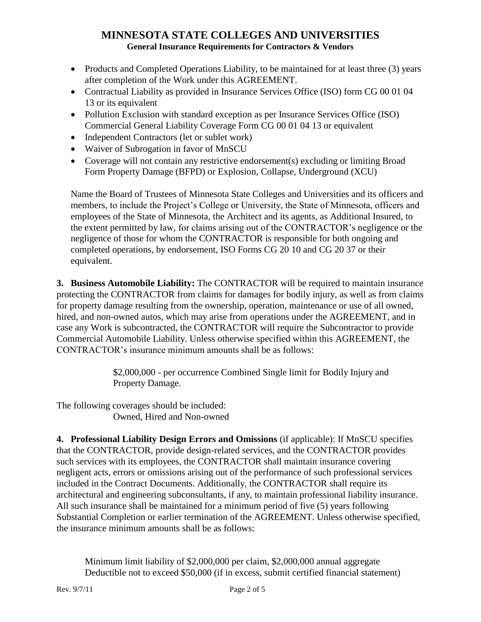- Products and Completed Operations Liability, to be maintained for at least three (3) years after completion of the Work under this AGREEMENT.
- Contractual Liability as provided in Insurance Services Office (ISO) form CG 00 01 04 13 or its equivalent
- Pollution Exclusion with standard exception as per Insurance Services Office (ISO) Commercial General Liability Coverage Form CG 00 01 04 13 or equivalent
- Independent Contractors (let or sublet work)
- Waiver of Subrogation in favor of MnSCU
- Coverage will not contain any restrictive endorsement(s) excluding or limiting Broad Form Property Damage (BFPD) or Explosion, Collapse, Underground (XCU)

Name the Board of Trustees of Minnesota State Colleges and Universities and its officers and members, to include the Project's College or University, the State of Minnesota, officers and employees of the State of Minnesota, the Architect and its agents, as Additional Insured, to the extent permitted by law, for claims arising out of the CONTRACTOR's negligence or the negligence of those for whom the CONTRACTOR is responsible for both ongoing and completed operations, by endorsement, ISO Forms CG 20 10 and CG 20 37 or their equivalent.

**3. Business Automobile Liability:** The CONTRACTOR will be required to maintain insurance protecting the CONTRACTOR from claims for damages for bodily injury, as well as from claims for property damage resulting from the ownership, operation, maintenance or use of all owned, hired, and non-owned autos, which may arise from operations under the AGREEMENT, and in case any Work is subcontracted, the CONTRACTOR will require the Subcontractor to provide Commercial Automobile Liability. Unless otherwise specified within this AGREEMENT, the CONTRACTOR's insurance minimum amounts shall be as follows:

> \$2,000,000 - per occurrence Combined Single limit for Bodily Injury and Property Damage.

The following coverages should be included: Owned, Hired and Non-owned

**4. Professional Liability Design Errors and Omissions** (if applicable): If MnSCU specifies that the CONTRACTOR, provide design-related services, and the CONTRACTOR provides such services with its employees, the CONTRACTOR shall maintain insurance covering negligent acts, errors or omissions arising out of the performance of such professional services included in the Contract Documents. Additionally, the CONTRACTOR shall require its architectural and engineering subconsultants, if any, to maintain professional liability insurance. All such insurance shall be maintained for a minimum period of five (5) years following Substantial Completion or earlier termination of the AGREEMENT. Unless otherwise specified, the insurance minimum amounts shall be as follows:

Minimum limit liability of \$2,000,000 per claim, \$2,000,000 annual aggregate Deductible not to exceed \$50,000 (if in excess, submit certified financial statement)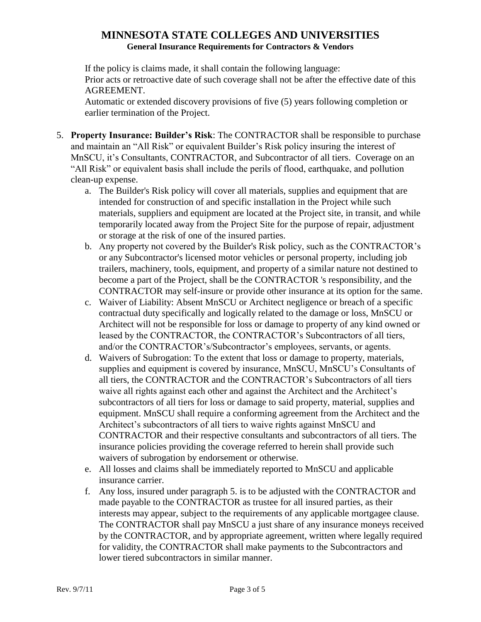If the policy is claims made, it shall contain the following language: Prior acts or retroactive date of such coverage shall not be after the effective date of this AGREEMENT.

Automatic or extended discovery provisions of five (5) years following completion or earlier termination of the Project.

- 5. **Property Insurance: Builder's Risk**: The CONTRACTOR shall be responsible to purchase and maintain an "All Risk" or equivalent Builder's Risk policy insuring the interest of MnSCU, it's Consultants, CONTRACTOR, and Subcontractor of all tiers. Coverage on an "All Risk" or equivalent basis shall include the perils of flood, earthquake, and pollution clean-up expense.
	- a. The Builder's Risk policy will cover all materials, supplies and equipment that are intended for construction of and specific installation in the Project while such materials, suppliers and equipment are located at the Project site, in transit, and while temporarily located away from the Project Site for the purpose of repair, adjustment or storage at the risk of one of the insured parties.
	- b. Any property not covered by the Builder's Risk policy, such as the CONTRACTOR's or any Subcontractor's licensed motor vehicles or personal property, including job trailers, machinery, tools, equipment, and property of a similar nature not destined to become a part of the Project, shall be the CONTRACTOR 's responsibility, and the CONTRACTOR may self-insure or provide other insurance at its option for the same.
	- c. Waiver of Liability: Absent MnSCU or Architect negligence or breach of a specific contractual duty specifically and logically related to the damage or loss, MnSCU or Architect will not be responsible for loss or damage to property of any kind owned or leased by the CONTRACTOR, the CONTRACTOR's Subcontractors of all tiers, and/or the CONTRACTOR's/Subcontractor's employees, servants, or agents.
	- d. Waivers of Subrogation: To the extent that loss or damage to property, materials, supplies and equipment is covered by insurance, MnSCU, MnSCU's Consultants of all tiers, the CONTRACTOR and the CONTRACTOR's Subcontractors of all tiers waive all rights against each other and against the Architect and the Architect's subcontractors of all tiers for loss or damage to said property, material, supplies and equipment. MnSCU shall require a conforming agreement from the Architect and the Architect's subcontractors of all tiers to waive rights against MnSCU and CONTRACTOR and their respective consultants and subcontractors of all tiers. The insurance policies providing the coverage referred to herein shall provide such waivers of subrogation by endorsement or otherwise.
	- e. All losses and claims shall be immediately reported to MnSCU and applicable insurance carrier.
	- f. Any loss, insured under paragraph 5. is to be adjusted with the CONTRACTOR and made payable to the CONTRACTOR as trustee for all insured parties, as their interests may appear, subject to the requirements of any applicable mortgagee clause. The CONTRACTOR shall pay MnSCU a just share of any insurance moneys received by the CONTRACTOR, and by appropriate agreement, written where legally required for validity, the CONTRACTOR shall make payments to the Subcontractors and lower tiered subcontractors in similar manner.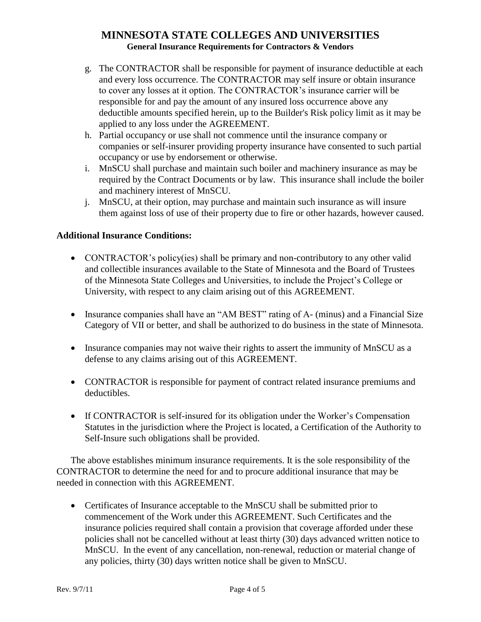- g. The CONTRACTOR shall be responsible for payment of insurance deductible at each and every loss occurrence. The CONTRACTOR may self insure or obtain insurance to cover any losses at it option. The CONTRACTOR's insurance carrier will be responsible for and pay the amount of any insured loss occurrence above any deductible amounts specified herein, up to the Builder's Risk policy limit as it may be applied to any loss under the AGREEMENT.
- h. Partial occupancy or use shall not commence until the insurance company or companies or self-insurer providing property insurance have consented to such partial occupancy or use by endorsement or otherwise.
- i. MnSCU shall purchase and maintain such boiler and machinery insurance as may be required by the Contract Documents or by law. This insurance shall include the boiler and machinery interest of MnSCU.
- j. MnSCU, at their option, may purchase and maintain such insurance as will insure them against loss of use of their property due to fire or other hazards, however caused.

### **Additional Insurance Conditions:**

- CONTRACTOR's policy(ies) shall be primary and non-contributory to any other valid and collectible insurances available to the State of Minnesota and the Board of Trustees of the Minnesota State Colleges and Universities, to include the Project's College or University, with respect to any claim arising out of this AGREEMENT.
- Insurance companies shall have an "AM BEST" rating of A- (minus) and a Financial Size Category of VII or better, and shall be authorized to do business in the state of Minnesota.
- Insurance companies may not waive their rights to assert the immunity of MnSCU as a defense to any claims arising out of this AGREEMENT.
- CONTRACTOR is responsible for payment of contract related insurance premiums and deductibles.
- If CONTRACTOR is self-insured for its obligation under the Worker's Compensation Statutes in the jurisdiction where the Project is located, a Certification of the Authority to Self-Insure such obligations shall be provided.

The above establishes minimum insurance requirements. It is the sole responsibility of the CONTRACTOR to determine the need for and to procure additional insurance that may be needed in connection with this AGREEMENT.

 Certificates of Insurance acceptable to the MnSCU shall be submitted prior to commencement of the Work under this AGREEMENT. Such Certificates and the insurance policies required shall contain a provision that coverage afforded under these policies shall not be cancelled without at least thirty (30) days advanced written notice to MnSCU. In the event of any cancellation, non-renewal, reduction or material change of any policies, thirty (30) days written notice shall be given to MnSCU.